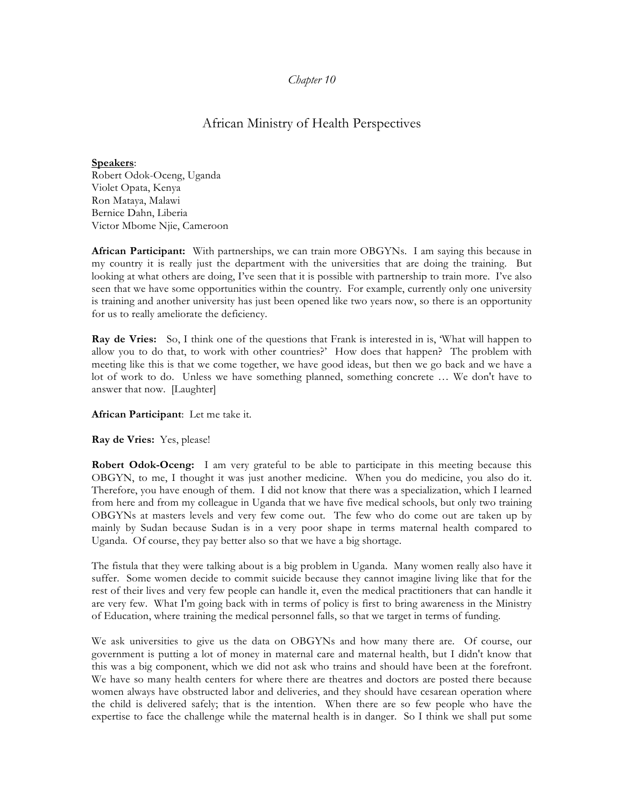## *Chapter 10*

## African Ministry of Health Perspectives

**Speakers**: Robert Odok-Oceng, Uganda Violet Opata, Kenya Ron Mataya, Malawi Bernice Dahn, Liberia Victor Mbome Njie, Cameroon

**African Participant:** With partnerships, we can train more OBGYNs. I am saying this because in my country it is really just the department with the universities that are doing the training. But looking at what others are doing, I've seen that it is possible with partnership to train more. I've also seen that we have some opportunities within the country. For example, currently only one university is training and another university has just been opened like two years now, so there is an opportunity for us to really ameliorate the deficiency.

**Ray de Vries:** So, I think one of the questions that Frank is interested in is, 'What will happen to allow you to do that, to work with other countries?' How does that happen? The problem with meeting like this is that we come together, we have good ideas, but then we go back and we have a lot of work to do. Unless we have something planned, something concrete … We don't have to answer that now. [Laughter]

## **African Participant**: Let me take it.

## **Ray de Vries:** Yes, please!

**Robert Odok-Oceng:** I am very grateful to be able to participate in this meeting because this OBGYN, to me, I thought it was just another medicine. When you do medicine, you also do it. Therefore, you have enough of them. I did not know that there was a specialization, which I learned from here and from my colleague in Uganda that we have five medical schools, but only two training OBGYNs at masters levels and very few come out. The few who do come out are taken up by mainly by Sudan because Sudan is in a very poor shape in terms maternal health compared to Uganda. Of course, they pay better also so that we have a big shortage.

The fistula that they were talking about is a big problem in Uganda. Many women really also have it suffer. Some women decide to commit suicide because they cannot imagine living like that for the rest of their lives and very few people can handle it, even the medical practitioners that can handle it are very few. What I'm going back with in terms of policy is first to bring awareness in the Ministry of Education, where training the medical personnel falls, so that we target in terms of funding.

We ask universities to give us the data on OBGYNs and how many there are. Of course, our government is putting a lot of money in maternal care and maternal health, but I didn't know that this was a big component, which we did not ask who trains and should have been at the forefront. We have so many health centers for where there are theatres and doctors are posted there because women always have obstructed labor and deliveries, and they should have cesarean operation where the child is delivered safely; that is the intention. When there are so few people who have the expertise to face the challenge while the maternal health is in danger. So I think we shall put some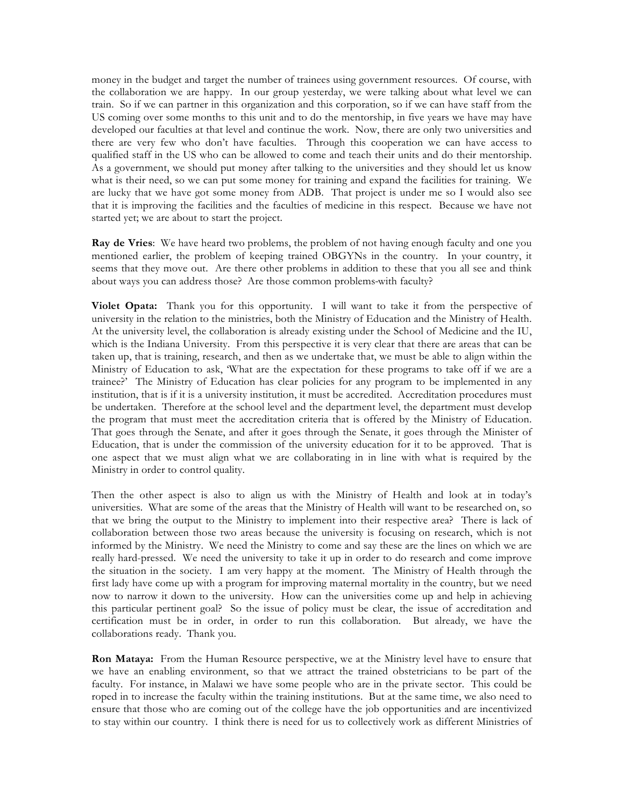money in the budget and target the number of trainees using government resources. Of course, with the collaboration we are happy. In our group yesterday, we were talking about what level we can train. So if we can partner in this organization and this corporation, so if we can have staff from the US coming over some months to this unit and to do the mentorship, in five years we have may have developed our faculties at that level and continue the work. Now, there are only two universities and there are very few who don't have faculties. Through this cooperation we can have access to qualified staff in the US who can be allowed to come and teach their units and do their mentorship. As a government, we should put money after talking to the universities and they should let us know what is their need, so we can put some money for training and expand the facilities for training. We are lucky that we have got some money from ADB. That project is under me so I would also see that it is improving the facilities and the faculties of medicine in this respect. Because we have not started yet; we are about to start the project.

**Ray de Vries**: We have heard two problems, the problem of not having enough faculty and one you mentioned earlier, the problem of keeping trained OBGYNs in the country. In your country, it seems that they move out. Are there other problems in addition to these that you all see and think about ways you can address those? Are those common problems with faculty?

**Violet Opata:** Thank you for this opportunity. I will want to take it from the perspective of university in the relation to the ministries, both the Ministry of Education and the Ministry of Health. At the university level, the collaboration is already existing under the School of Medicine and the IU, which is the Indiana University. From this perspective it is very clear that there are areas that can be taken up, that is training, research, and then as we undertake that, we must be able to align within the Ministry of Education to ask, 'What are the expectation for these programs to take off if we are a trainee?' The Ministry of Education has clear policies for any program to be implemented in any institution, that is if it is a university institution, it must be accredited. Accreditation procedures must be undertaken. Therefore at the school level and the department level, the department must develop the program that must meet the accreditation criteria that is offered by the Ministry of Education. That goes through the Senate, and after it goes through the Senate, it goes through the Minister of Education, that is under the commission of the university education for it to be approved. That is one aspect that we must align what we are collaborating in in line with what is required by the Ministry in order to control quality.

Then the other aspect is also to align us with the Ministry of Health and look at in today's universities. What are some of the areas that the Ministry of Health will want to be researched on, so that we bring the output to the Ministry to implement into their respective area? There is lack of collaboration between those two areas because the university is focusing on research, which is not informed by the Ministry. We need the Ministry to come and say these are the lines on which we are really hard-pressed. We need the university to take it up in order to do research and come improve the situation in the society. I am very happy at the moment. The Ministry of Health through the first lady have come up with a program for improving maternal mortality in the country, but we need now to narrow it down to the university. How can the universities come up and help in achieving this particular pertinent goal? So the issue of policy must be clear, the issue of accreditation and certification must be in order, in order to run this collaboration. But already, we have the collaborations ready. Thank you.

**Ron Mataya:** From the Human Resource perspective, we at the Ministry level have to ensure that we have an enabling environment, so that we attract the trained obstetricians to be part of the faculty. For instance, in Malawi we have some people who are in the private sector. This could be roped in to increase the faculty within the training institutions. But at the same time, we also need to ensure that those who are coming out of the college have the job opportunities and are incentivized to stay within our country. I think there is need for us to collectively work as different Ministries of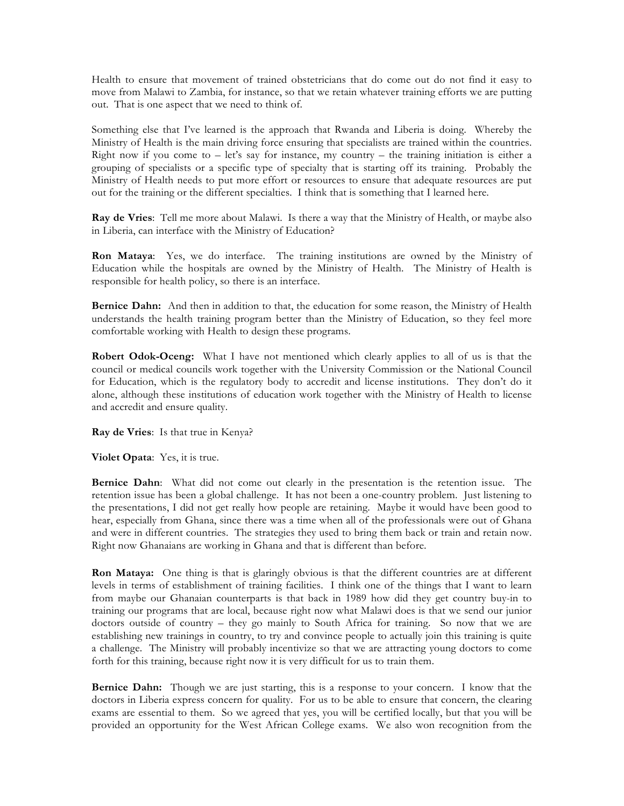Health to ensure that movement of trained obstetricians that do come out do not find it easy to move from Malawi to Zambia, for instance, so that we retain whatever training efforts we are putting out. That is one aspect that we need to think of.

Something else that I've learned is the approach that Rwanda and Liberia is doing. Whereby the Ministry of Health is the main driving force ensuring that specialists are trained within the countries. Right now if you come to  $-$  let's say for instance, my country  $-$  the training initiation is either a grouping of specialists or a specific type of specialty that is starting off its training. Probably the Ministry of Health needs to put more effort or resources to ensure that adequate resources are put out for the training or the different specialties. I think that is something that I learned here.

**Ray de Vries**: Tell me more about Malawi. Is there a way that the Ministry of Health, or maybe also in Liberia, can interface with the Ministry of Education?

**Ron Mataya**: Yes, we do interface. The training institutions are owned by the Ministry of Education while the hospitals are owned by the Ministry of Health. The Ministry of Health is responsible for health policy, so there is an interface.

**Bernice Dahn:** And then in addition to that, the education for some reason, the Ministry of Health understands the health training program better than the Ministry of Education, so they feel more comfortable working with Health to design these programs.

**Robert Odok-Oceng:** What I have not mentioned which clearly applies to all of us is that the council or medical councils work together with the University Commission or the National Council for Education, which is the regulatory body to accredit and license institutions. They don't do it alone, although these institutions of education work together with the Ministry of Health to license and accredit and ensure quality.

**Ray de Vries**: Is that true in Kenya?

**Violet Opata**: Yes, it is true.

**Bernice Dahn**: What did not come out clearly in the presentation is the retention issue. The retention issue has been a global challenge. It has not been a one-country problem. Just listening to the presentations, I did not get really how people are retaining. Maybe it would have been good to hear, especially from Ghana, since there was a time when all of the professionals were out of Ghana and were in different countries. The strategies they used to bring them back or train and retain now. Right now Ghanaians are working in Ghana and that is different than before.

**Ron Mataya:** One thing is that is glaringly obvious is that the different countries are at different levels in terms of establishment of training facilities. I think one of the things that I want to learn from maybe our Ghanaian counterparts is that back in 1989 how did they get country buy-in to training our programs that are local, because right now what Malawi does is that we send our junior doctors outside of country – they go mainly to South Africa for training. So now that we are establishing new trainings in country, to try and convince people to actually join this training is quite a challenge. The Ministry will probably incentivize so that we are attracting young doctors to come forth for this training, because right now it is very difficult for us to train them.

**Bernice Dahn:** Though we are just starting, this is a response to your concern. I know that the doctors in Liberia express concern for quality. For us to be able to ensure that concern, the clearing exams are essential to them. So we agreed that yes, you will be certified locally, but that you will be provided an opportunity for the West African College exams. We also won recognition from the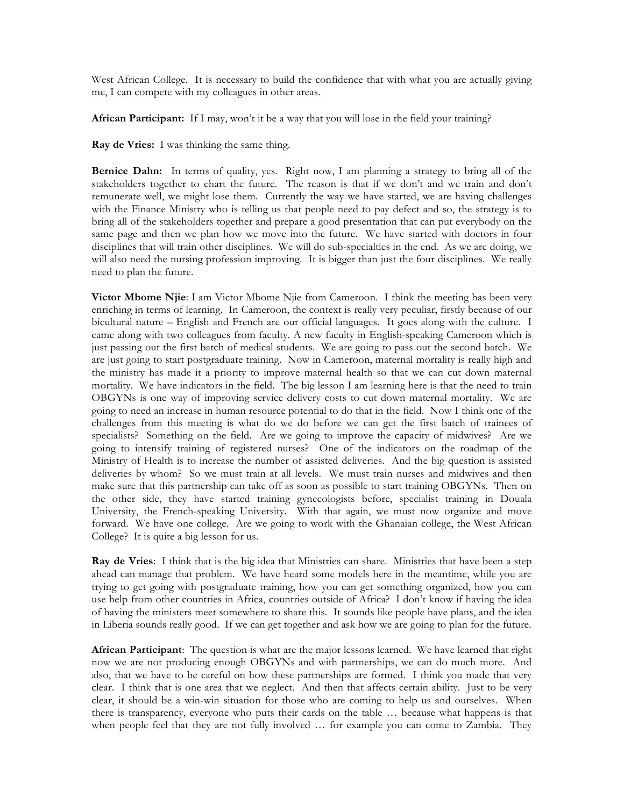West African College. It is necessary to build the confidence that with what you are actually giving me, I can compete with my colleagues in other areas.

**African Participant:** If I may, won't it be a way that you will lose in the field your training?

**Ray de Vries:** I was thinking the same thing.

**Bernice Dahn:** In terms of quality, yes. Right now, I am planning a strategy to bring all of the stakeholders together to chart the future. The reason is that if we don't and we train and don't remunerate well, we might lose them. Currently the way we have started, we are having challenges with the Finance Ministry who is telling us that people need to pay defect and so, the strategy is to bring all of the stakeholders together and prepare a good presentation that can put everybody on the same page and then we plan how we move into the future. We have started with doctors in four disciplines that will train other disciplines. We will do sub-specialties in the end. As we are doing, we will also need the nursing profession improving. It is bigger than just the four disciplines. We really need to plan the future.

**Victor Mbome Njie**: I am Victor Mbome Njie from Cameroon. I think the meeting has been very enriching in terms of learning. In Cameroon, the context is really very peculiar, firstly because of our bicultural nature – English and French are our official languages. It goes along with the culture. I came along with two colleagues from faculty. A new faculty in English-speaking Cameroon which is just passing out the first batch of medical students. We are going to pass out the second batch. We are just going to start postgraduate training. Now in Cameroon, maternal mortality is really high and the ministry has made it a priority to improve maternal health so that we can cut down maternal mortality. We have indicators in the field. The big lesson I am learning here is that the need to train OBGYNs is one way of improving service delivery costs to cut down maternal mortality. We are going to need an increase in human resource potential to do that in the field. Now I think one of the challenges from this meeting is what do we do before we can get the first batch of trainees of specialists? Something on the field. Are we going to improve the capacity of midwives? Are we going to intensify training of registered nurses? One of the indicators on the roadmap of the Ministry of Health is to increase the number of assisted deliveries. And the big question is assisted deliveries by whom? So we must train at all levels. We must train nurses and midwives and then make sure that this partnership can take off as soon as possible to start training OBGYNs. Then on the other side, they have started training gynecologists before, specialist training in Douala University, the French-speaking University. With that again, we must now organize and move forward. We have one college. Are we going to work with the Ghanaian college, the West African College? It is quite a big lesson for us.

**Ray de Vries**: I think that is the big idea that Ministries can share. Ministries that have been a step ahead can manage that problem. We have heard some models here in the meantime, while you are trying to get going with postgraduate training, how you can get something organized, how you can use help from other countries in Africa, countries outside of Africa? I don't know if having the idea of having the ministers meet somewhere to share this. It sounds like people have plans, and the idea in Liberia sounds really good. If we can get together and ask how we are going to plan for the future.

**African Participant**: The question is what are the major lessons learned. We have learned that right now we are not producing enough OBGYNs and with partnerships, we can do much more. And also, that we have to be careful on how these partnerships are formed. I think you made that very clear. I think that is one area that we neglect. And then that affects certain ability. Just to be very clear, it should be a win-win situation for those who are coming to help us and ourselves. When there is transparency, everyone who puts their cards on the table … because what happens is that when people feel that they are not fully involved … for example you can come to Zambia. They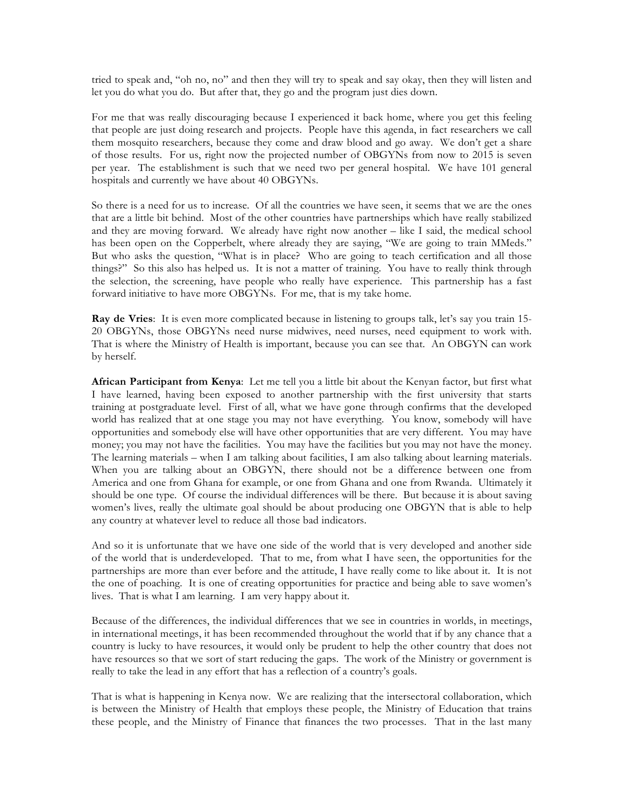tried to speak and, "oh no, no" and then they will try to speak and say okay, then they will listen and let you do what you do. But after that, they go and the program just dies down.

For me that was really discouraging because I experienced it back home, where you get this feeling that people are just doing research and projects. People have this agenda, in fact researchers we call them mosquito researchers, because they come and draw blood and go away. We don't get a share of those results. For us, right now the projected number of OBGYNs from now to 2015 is seven per year. The establishment is such that we need two per general hospital. We have 101 general hospitals and currently we have about 40 OBGYNs.

So there is a need for us to increase. Of all the countries we have seen, it seems that we are the ones that are a little bit behind. Most of the other countries have partnerships which have really stabilized and they are moving forward. We already have right now another – like I said, the medical school has been open on the Copperbelt, where already they are saying, "We are going to train MMeds." But who asks the question, "What is in place? Who are going to teach certification and all those things?" So this also has helped us. It is not a matter of training. You have to really think through the selection, the screening, have people who really have experience. This partnership has a fast forward initiative to have more OBGYNs. For me, that is my take home.

**Ray de Vries**: It is even more complicated because in listening to groups talk, let's say you train 15- 20 OBGYNs, those OBGYNs need nurse midwives, need nurses, need equipment to work with. That is where the Ministry of Health is important, because you can see that. An OBGYN can work by herself.

**African Participant from Kenya**: Let me tell you a little bit about the Kenyan factor, but first what I have learned, having been exposed to another partnership with the first university that starts training at postgraduate level. First of all, what we have gone through confirms that the developed world has realized that at one stage you may not have everything. You know, somebody will have opportunities and somebody else will have other opportunities that are very different. You may have money; you may not have the facilities. You may have the facilities but you may not have the money. The learning materials – when I am talking about facilities, I am also talking about learning materials. When you are talking about an OBGYN, there should not be a difference between one from America and one from Ghana for example, or one from Ghana and one from Rwanda. Ultimately it should be one type. Of course the individual differences will be there. But because it is about saving women's lives, really the ultimate goal should be about producing one OBGYN that is able to help any country at whatever level to reduce all those bad indicators.

And so it is unfortunate that we have one side of the world that is very developed and another side of the world that is underdeveloped. That to me, from what I have seen, the opportunities for the partnerships are more than ever before and the attitude, I have really come to like about it. It is not the one of poaching. It is one of creating opportunities for practice and being able to save women's lives. That is what I am learning. I am very happy about it.

Because of the differences, the individual differences that we see in countries in worlds, in meetings, in international meetings, it has been recommended throughout the world that if by any chance that a country is lucky to have resources, it would only be prudent to help the other country that does not have resources so that we sort of start reducing the gaps. The work of the Ministry or government is really to take the lead in any effort that has a reflection of a country's goals.

That is what is happening in Kenya now. We are realizing that the intersectoral collaboration, which is between the Ministry of Health that employs these people, the Ministry of Education that trains these people, and the Ministry of Finance that finances the two processes. That in the last many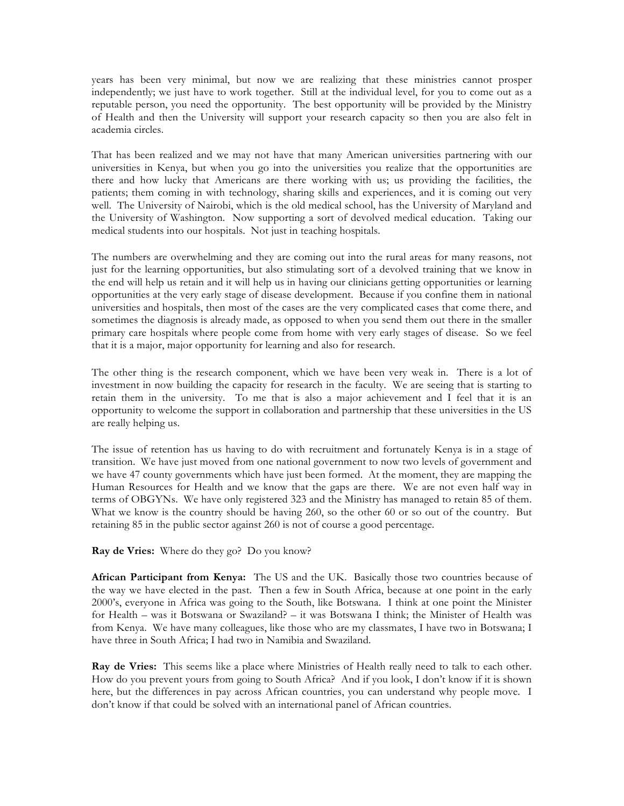years has been very minimal, but now we are realizing that these ministries cannot prosper independently; we just have to work together. Still at the individual level, for you to come out as a reputable person, you need the opportunity. The best opportunity will be provided by the Ministry of Health and then the University will support your research capacity so then you are also felt in academia circles.

That has been realized and we may not have that many American universities partnering with our universities in Kenya, but when you go into the universities you realize that the opportunities are there and how lucky that Americans are there working with us; us providing the facilities, the patients; them coming in with technology, sharing skills and experiences, and it is coming out very well. The University of Nairobi, which is the old medical school, has the University of Maryland and the University of Washington. Now supporting a sort of devolved medical education. Taking our medical students into our hospitals. Not just in teaching hospitals.

The numbers are overwhelming and they are coming out into the rural areas for many reasons, not just for the learning opportunities, but also stimulating sort of a devolved training that we know in the end will help us retain and it will help us in having our clinicians getting opportunities or learning opportunities at the very early stage of disease development. Because if you confine them in national universities and hospitals, then most of the cases are the very complicated cases that come there, and sometimes the diagnosis is already made, as opposed to when you send them out there in the smaller primary care hospitals where people come from home with very early stages of disease. So we feel that it is a major, major opportunity for learning and also for research.

The other thing is the research component, which we have been very weak in. There is a lot of investment in now building the capacity for research in the faculty. We are seeing that is starting to retain them in the university. To me that is also a major achievement and I feel that it is an opportunity to welcome the support in collaboration and partnership that these universities in the US are really helping us.

The issue of retention has us having to do with recruitment and fortunately Kenya is in a stage of transition. We have just moved from one national government to now two levels of government and we have 47 county governments which have just been formed. At the moment, they are mapping the Human Resources for Health and we know that the gaps are there. We are not even half way in terms of OBGYNs. We have only registered 323 and the Ministry has managed to retain 85 of them. What we know is the country should be having 260, so the other 60 or so out of the country. But retaining 85 in the public sector against 260 is not of course a good percentage.

**Ray de Vries:** Where do they go? Do you know?

**African Participant from Kenya:** The US and the UK. Basically those two countries because of the way we have elected in the past. Then a few in South Africa, because at one point in the early 2000's, everyone in Africa was going to the South, like Botswana. I think at one point the Minister for Health – was it Botswana or Swaziland? – it was Botswana I think; the Minister of Health was from Kenya. We have many colleagues, like those who are my classmates, I have two in Botswana; I have three in South Africa; I had two in Namibia and Swaziland.

**Ray de Vries:** This seems like a place where Ministries of Health really need to talk to each other. How do you prevent yours from going to South Africa? And if you look, I don't know if it is shown here, but the differences in pay across African countries, you can understand why people move. I don't know if that could be solved with an international panel of African countries.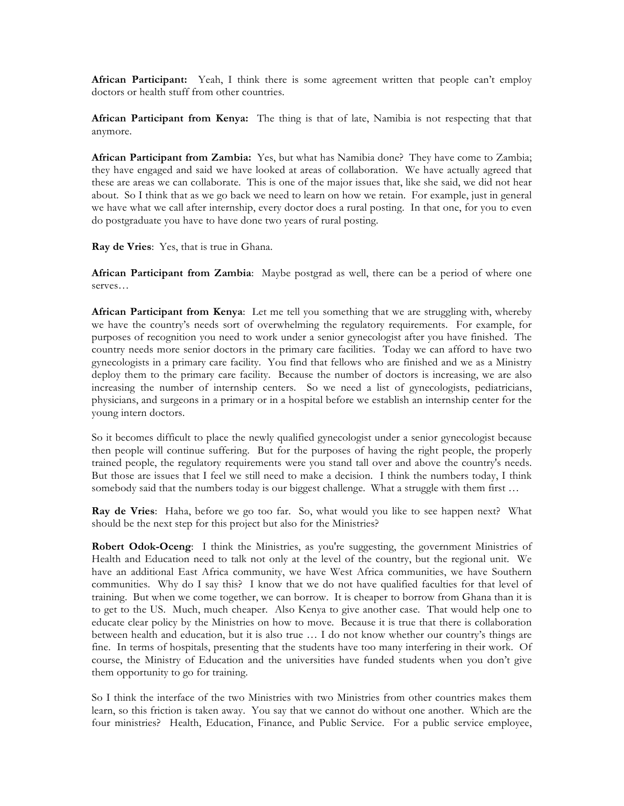**African Participant:** Yeah, I think there is some agreement written that people can't employ doctors or health stuff from other countries.

**African Participant from Kenya:** The thing is that of late, Namibia is not respecting that that anymore.

**African Participant from Zambia:** Yes, but what has Namibia done? They have come to Zambia; they have engaged and said we have looked at areas of collaboration. We have actually agreed that these are areas we can collaborate. This is one of the major issues that, like she said, we did not hear about. So I think that as we go back we need to learn on how we retain. For example, just in general we have what we call after internship, every doctor does a rural posting. In that one, for you to even do postgraduate you have to have done two years of rural posting.

**Ray de Vries**: Yes, that is true in Ghana.

**African Participant from Zambia**: Maybe postgrad as well, there can be a period of where one serves…

**African Participant from Kenya**: Let me tell you something that we are struggling with, whereby we have the country's needs sort of overwhelming the regulatory requirements. For example, for purposes of recognition you need to work under a senior gynecologist after you have finished. The country needs more senior doctors in the primary care facilities. Today we can afford to have two gynecologists in a primary care facility. You find that fellows who are finished and we as a Ministry deploy them to the primary care facility. Because the number of doctors is increasing, we are also increasing the number of internship centers. So we need a list of gynecologists, pediatricians, physicians, and surgeons in a primary or in a hospital before we establish an internship center for the young intern doctors.

So it becomes difficult to place the newly qualified gynecologist under a senior gynecologist because then people will continue suffering. But for the purposes of having the right people, the properly trained people, the regulatory requirements were you stand tall over and above the country's needs. But those are issues that I feel we still need to make a decision. I think the numbers today, I think somebody said that the numbers today is our biggest challenge. What a struggle with them first ...

**Ray de Vries**: Haha, before we go too far. So, what would you like to see happen next? What should be the next step for this project but also for the Ministries?

**Robert Odok-Oceng**: I think the Ministries, as you're suggesting, the government Ministries of Health and Education need to talk not only at the level of the country, but the regional unit. We have an additional East Africa community, we have West Africa communities, we have Southern communities. Why do I say this? I know that we do not have qualified faculties for that level of training. But when we come together, we can borrow. It is cheaper to borrow from Ghana than it is to get to the US. Much, much cheaper. Also Kenya to give another case. That would help one to educate clear policy by the Ministries on how to move. Because it is true that there is collaboration between health and education, but it is also true … I do not know whether our country's things are fine. In terms of hospitals, presenting that the students have too many interfering in their work. Of course, the Ministry of Education and the universities have funded students when you don't give them opportunity to go for training.

So I think the interface of the two Ministries with two Ministries from other countries makes them learn, so this friction is taken away. You say that we cannot do without one another. Which are the four ministries? Health, Education, Finance, and Public Service. For a public service employee,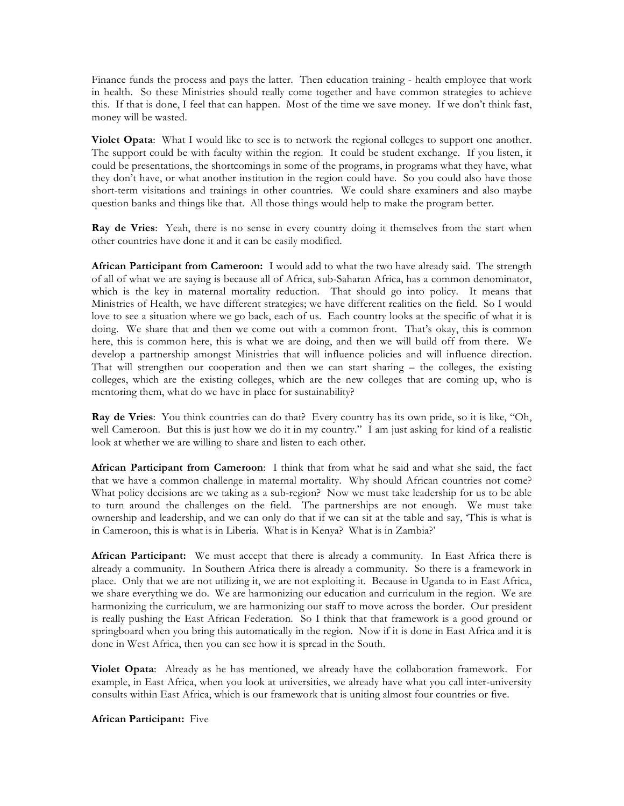Finance funds the process and pays the latter. Then education training - health employee that work in health. So these Ministries should really come together and have common strategies to achieve this. If that is done, I feel that can happen. Most of the time we save money. If we don't think fast, money will be wasted.

**Violet Opata**: What I would like to see is to network the regional colleges to support one another. The support could be with faculty within the region. It could be student exchange. If you listen, it could be presentations, the shortcomings in some of the programs, in programs what they have, what they don't have, or what another institution in the region could have. So you could also have those short-term visitations and trainings in other countries. We could share examiners and also maybe question banks and things like that. All those things would help to make the program better.

**Ray de Vries**: Yeah, there is no sense in every country doing it themselves from the start when other countries have done it and it can be easily modified.

**African Participant from Cameroon:** I would add to what the two have already said. The strength of all of what we are saying is because all of Africa, sub-Saharan Africa, has a common denominator, which is the key in maternal mortality reduction. That should go into policy. It means that Ministries of Health, we have different strategies; we have different realities on the field. So I would love to see a situation where we go back, each of us. Each country looks at the specific of what it is doing. We share that and then we come out with a common front. That's okay, this is common here, this is common here, this is what we are doing, and then we will build off from there. We develop a partnership amongst Ministries that will influence policies and will influence direction. That will strengthen our cooperation and then we can start sharing – the colleges, the existing colleges, which are the existing colleges, which are the new colleges that are coming up, who is mentoring them, what do we have in place for sustainability?

**Ray de Vries**: You think countries can do that? Every country has its own pride, so it is like, "Oh, well Cameroon. But this is just how we do it in my country." I am just asking for kind of a realistic look at whether we are willing to share and listen to each other.

**African Participant from Cameroon**: I think that from what he said and what she said, the fact that we have a common challenge in maternal mortality. Why should African countries not come? What policy decisions are we taking as a sub-region? Now we must take leadership for us to be able to turn around the challenges on the field. The partnerships are not enough. We must take ownership and leadership, and we can only do that if we can sit at the table and say, 'This is what is in Cameroon, this is what is in Liberia. What is in Kenya? What is in Zambia?'

**African Participant:** We must accept that there is already a community. In East Africa there is already a community. In Southern Africa there is already a community. So there is a framework in place. Only that we are not utilizing it, we are not exploiting it. Because in Uganda to in East Africa, we share everything we do. We are harmonizing our education and curriculum in the region. We are harmonizing the curriculum, we are harmonizing our staff to move across the border. Our president is really pushing the East African Federation. So I think that that framework is a good ground or springboard when you bring this automatically in the region. Now if it is done in East Africa and it is done in West Africa, then you can see how it is spread in the South.

**Violet Opata**: Already as he has mentioned, we already have the collaboration framework. For example, in East Africa, when you look at universities, we already have what you call inter-university consults within East Africa, which is our framework that is uniting almost four countries or five.

**African Participant:** Five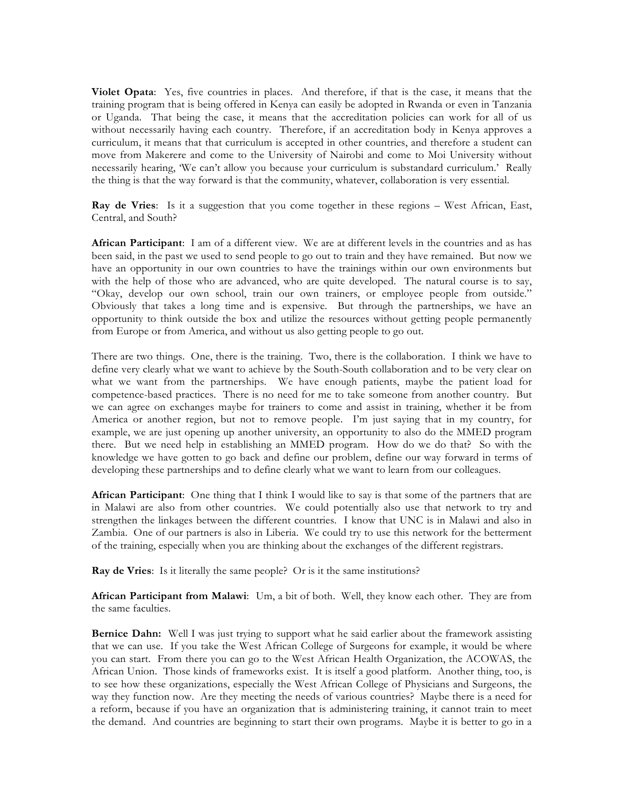**Violet Opata**: Yes, five countries in places. And therefore, if that is the case, it means that the training program that is being offered in Kenya can easily be adopted in Rwanda or even in Tanzania or Uganda. That being the case, it means that the accreditation policies can work for all of us without necessarily having each country. Therefore, if an accreditation body in Kenya approves a curriculum, it means that that curriculum is accepted in other countries, and therefore a student can move from Makerere and come to the University of Nairobi and come to Moi University without necessarily hearing, 'We can't allow you because your curriculum is substandard curriculum.' Really the thing is that the way forward is that the community, whatever, collaboration is very essential.

**Ray de Vries**: Is it a suggestion that you come together in these regions – West African, East, Central, and South?

**African Participant**: I am of a different view. We are at different levels in the countries and as has been said, in the past we used to send people to go out to train and they have remained. But now we have an opportunity in our own countries to have the trainings within our own environments but with the help of those who are advanced, who are quite developed. The natural course is to say, "Okay, develop our own school, train our own trainers, or employee people from outside." Obviously that takes a long time and is expensive. But through the partnerships, we have an opportunity to think outside the box and utilize the resources without getting people permanently from Europe or from America, and without us also getting people to go out.

There are two things. One, there is the training. Two, there is the collaboration. I think we have to define very clearly what we want to achieve by the South-South collaboration and to be very clear on what we want from the partnerships. We have enough patients, maybe the patient load for competence-based practices. There is no need for me to take someone from another country. But we can agree on exchanges maybe for trainers to come and assist in training, whether it be from America or another region, but not to remove people. I'm just saying that in my country, for example, we are just opening up another university, an opportunity to also do the MMED program there. But we need help in establishing an MMED program. How do we do that? So with the knowledge we have gotten to go back and define our problem, define our way forward in terms of developing these partnerships and to define clearly what we want to learn from our colleagues.

**African Participant**: One thing that I think I would like to say is that some of the partners that are in Malawi are also from other countries. We could potentially also use that network to try and strengthen the linkages between the different countries. I know that UNC is in Malawi and also in Zambia. One of our partners is also in Liberia. We could try to use this network for the betterment of the training, especially when you are thinking about the exchanges of the different registrars.

**Ray de Vries**: Is it literally the same people? Or is it the same institutions?

**African Participant from Malawi**: Um, a bit of both. Well, they know each other. They are from the same faculties.

**Bernice Dahn:** Well I was just trying to support what he said earlier about the framework assisting that we can use. If you take the West African College of Surgeons for example, it would be where you can start. From there you can go to the West African Health Organization, the ACOWAS, the African Union. Those kinds of frameworks exist. It is itself a good platform. Another thing, too, is to see how these organizations, especially the West African College of Physicians and Surgeons, the way they function now. Are they meeting the needs of various countries? Maybe there is a need for a reform, because if you have an organization that is administering training, it cannot train to meet the demand. And countries are beginning to start their own programs. Maybe it is better to go in a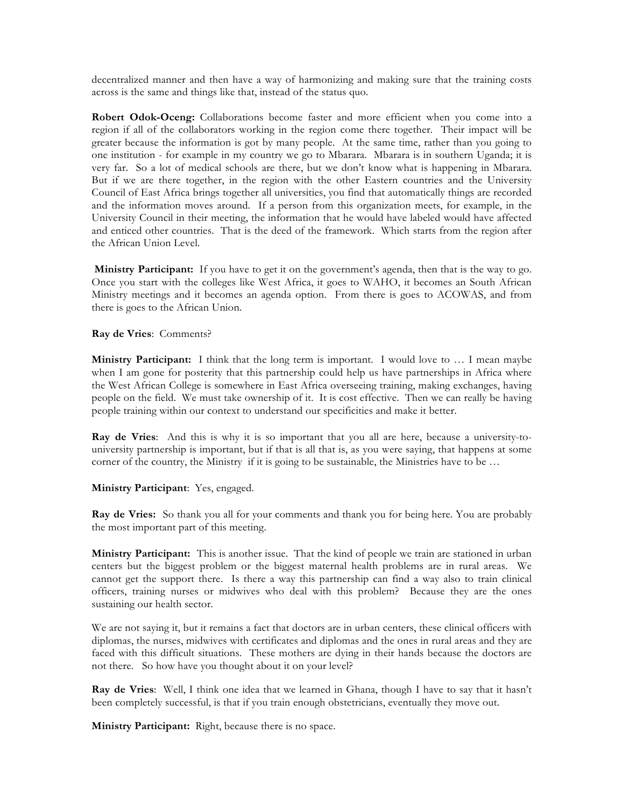decentralized manner and then have a way of harmonizing and making sure that the training costs across is the same and things like that, instead of the status quo.

**Robert Odok-Oceng:** Collaborations become faster and more efficient when you come into a region if all of the collaborators working in the region come there together. Their impact will be greater because the information is got by many people. At the same time, rather than you going to one institution - for example in my country we go to Mbarara. Mbarara is in southern Uganda; it is very far. So a lot of medical schools are there, but we don't know what is happening in Mbarara. But if we are there together, in the region with the other Eastern countries and the University Council of East Africa brings together all universities, you find that automatically things are recorded and the information moves around. If a person from this organization meets, for example, in the University Council in their meeting, the information that he would have labeled would have affected and enticed other countries. That is the deed of the framework. Which starts from the region after the African Union Level.

**Ministry Participant:** If you have to get it on the government's agenda, then that is the way to go. Once you start with the colleges like West Africa, it goes to WAHO, it becomes an South African Ministry meetings and it becomes an agenda option. From there is goes to ACOWAS, and from there is goes to the African Union.

**Ray de Vries**: Comments?

**Ministry Participant:** I think that the long term is important. I would love to … I mean maybe when I am gone for posterity that this partnership could help us have partnerships in Africa where the West African College is somewhere in East Africa overseeing training, making exchanges, having people on the field. We must take ownership of it. It is cost effective. Then we can really be having people training within our context to understand our specificities and make it better.

**Ray de Vries**: And this is why it is so important that you all are here, because a university-touniversity partnership is important, but if that is all that is, as you were saying, that happens at some corner of the country, the Ministry if it is going to be sustainable, the Ministries have to be …

**Ministry Participant**: Yes, engaged.

**Ray de Vries:** So thank you all for your comments and thank you for being here. You are probably the most important part of this meeting.

**Ministry Participant:** This is another issue. That the kind of people we train are stationed in urban centers but the biggest problem or the biggest maternal health problems are in rural areas. We cannot get the support there. Is there a way this partnership can find a way also to train clinical officers, training nurses or midwives who deal with this problem? Because they are the ones sustaining our health sector.

We are not saying it, but it remains a fact that doctors are in urban centers, these clinical officers with diplomas, the nurses, midwives with certificates and diplomas and the ones in rural areas and they are faced with this difficult situations. These mothers are dying in their hands because the doctors are not there. So how have you thought about it on your level?

**Ray de Vries**: Well, I think one idea that we learned in Ghana, though I have to say that it hasn't been completely successful, is that if you train enough obstetricians, eventually they move out.

**Ministry Participant:** Right, because there is no space.